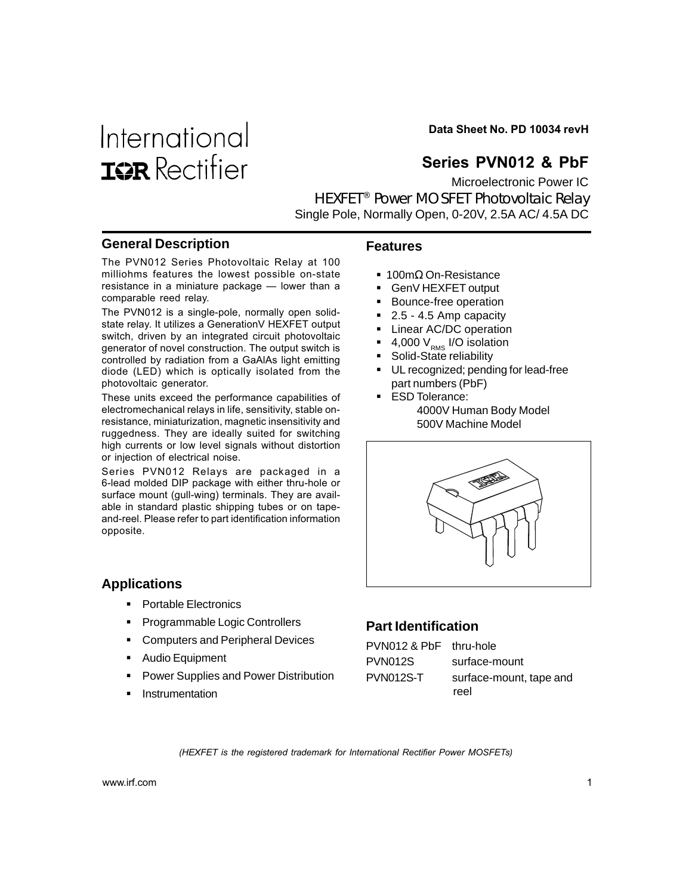# International **ISR** Rectifier

Data Sheet No. PD 10034 revH

# Series PVN012 & PbF

Microelectronic Power IC HEXFET® Power MOSFET Photovoltaic Relay Single Pole, Normally Open, 0-20V, 2.5A AC/ 4.5A DC

#### **General Description**

The PVN012 Series Photovoltaic Relay at 100 milliohms features the lowest possible on-state resistance in a miniature package — lower than a comparable reed relay.

The PVN012 is a single-pole, normally open solidstate relay. It utilizes a GenerationV HEXFET output switch, driven by an integrated circuit photovoltaic generator of novel construction. The output switch is controlled by radiation from a GaAlAs light emitting diode (LED) which is optically isolated from the photovoltaic generator.

These units exceed the performance capabilities of electromechanical relays in life, sensitivity, stable onresistance, miniaturization, magnetic insensitivity and ruggedness. They are ideally suited for switching high currents or low level signals without distortion or injection of electrical noise.

Series PVN012 Relays are packaged in a 6-lead molded DIP package with either thru-hole or surface mount (gull-wing) terminals. They are available in standard plastic shipping tubes or on tapeand-reel. Please refer to part identification information opposite.

#### **Applications**

- ! Portable Electronics
- ! Programmable Logic Controllers
- **EXECOMPUTER 5 IN ADDET PERIPHER** Devices
- Audio Equipment
- ! Power Supplies and Power Distribution
- **Instrumentation**

#### **Features**

- 100mΩ On-Resistance
- ! GenV HEXFET output
- Bounce-free operation
- 2.5 4.5 Amp capacity
- **E** Linear AC/DC operation
- $\blacksquare$  4,000 V<sub>RMS</sub> I/O isolation
- **B** Solid-State reliability
- **UL recognized; pending for lead-free** part numbers (PbF)
- **ESD Tolerance:** 4000V Human Body Model 500V Machine Model



## **Part Identification**

| PVN012 & PbF thru-hole |                         |
|------------------------|-------------------------|
| PVN012S                | surface-mount           |
| <b>PVN012S-T</b>       | surface-mount, tape and |
|                        | reel                    |

(HEXFET is the registered trademark for International Rectifier Power MOSFETs)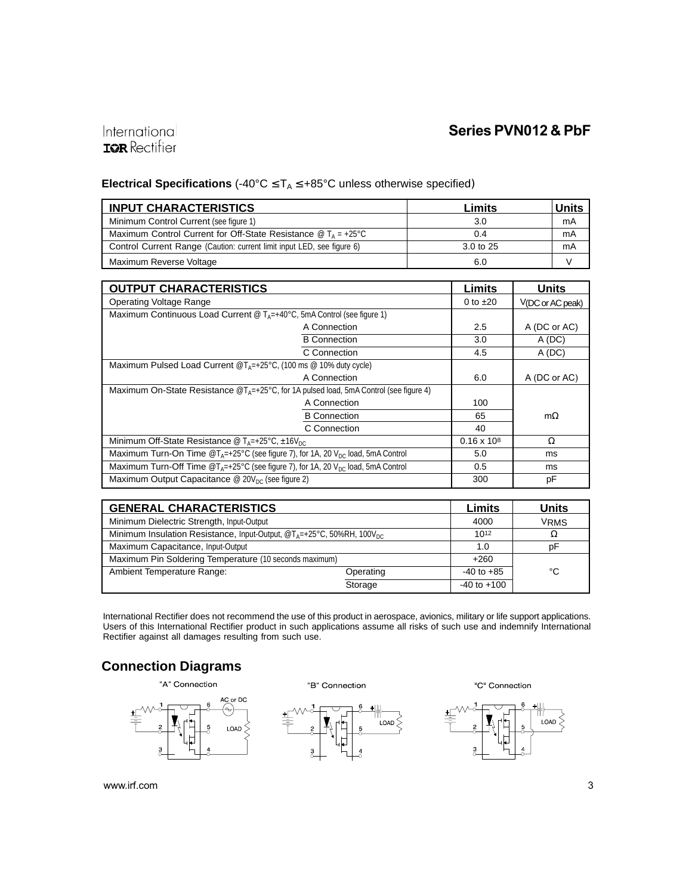## International **IQR** Rectifier

## **Electrical Specifications** (-40°C ≤ TA ≤ +85°C unless otherwise specified)

| <b>INPUT CHARACTERISTICS</b>                                                   | Limits    | Units |
|--------------------------------------------------------------------------------|-----------|-------|
| Minimum Control Current (see figure 1)                                         | 3.0       | mA    |
| Maximum Control Current for Off-State Resistance $\omega T_{A} = +25^{\circ}C$ | 0.4       | mA    |
| Control Current Range (Caution: current limit input LED, see figure 6)         | 3.0 to 25 | mA    |
| Maximum Reverse Voltage                                                        | 6.0       |       |

| <b>OUTPUT CHARACTERISTICS</b>                                                                                     |               | <b>Units</b>       |
|-------------------------------------------------------------------------------------------------------------------|---------------|--------------------|
| <b>Operating Voltage Range</b>                                                                                    | 0 to $\pm 20$ | $V(DC$ or AC peak) |
| Maximum Continuous Load Current @ $T_{A} = +40^{\circ}C$ , 5mA Control (see figure 1)                             |               |                    |
| A Connection                                                                                                      | $2.5\,$       | A (DC or AC)       |
| <b>B</b> Connection                                                                                               | 3.0           | A(DC)              |
| C Connection                                                                                                      | 4.5           | A(DC)              |
| Maximum Pulsed Load Current $@T_{\Delta}=+25^{\circ}C$ , (100 ms $@$ 10% duty cycle)                              |               |                    |
| A Connection                                                                                                      | 6.0           | A (DC or AC)       |
| Maximum On-State Resistance $\mathcal{Q}T_{A}=+25\degree C$ , for 1A pulsed load, 5mA Control (see figure 4)      |               |                    |
| A Connection                                                                                                      | 100           |                    |
| <b>B</b> Connection                                                                                               | 65            | $m\Omega$          |
| C Connection                                                                                                      | 40            |                    |
| Minimum Off-State Resistance @ $T_A = +25^{\circ}C$ , $\pm 16V_{DC}$                                              |               | Ω                  |
| Maximum Turn-On Time $\mathcal{D}_{A}=+25^{\circ}$ C (see figure 7), for 1A, 20 V <sub>DC</sub> load, 5mA Control |               | ms                 |
| Maximum Turn-Off Time $\mathcal{Q}T_{A}=+25^{\circ}C$ (see figure 7), for 1A, 20 $V_{DC}$ load, 5mA Control       |               | ms                 |
| Maximum Output Capacitance $\omega$ 20V <sub>pc</sub> (see figure 2)                                              |               | рF                 |

| <b>GENERAL CHARACTERISTICS</b>                                                                           |           | Limits          | <b>Units</b> |
|----------------------------------------------------------------------------------------------------------|-----------|-----------------|--------------|
| Minimum Dielectric Strength, Input-Output                                                                |           | 4000            | <b>VRMS</b>  |
| Minimum Insulation Resistance, Input-Output, $\mathcal{O}T_A = +25^{\circ}C$ , 50%RH, 100V <sub>DC</sub> |           | $10^{12}$       | Ω            |
| Maximum Capacitance, Input-Output                                                                        |           | 1.0             | pF           |
| Maximum Pin Soldering Temperature (10 seconds maximum)                                                   |           | $+260$          |              |
| Ambient Temperature Range:                                                                               | Operating | $-40$ to $+85$  | °C           |
|                                                                                                          | Storage   | $-40$ to $+100$ |              |

International Rectifier does not recommend the use of this product in aerospace, avionics, military or life support applications. Users of this International Rectifier product in such applications assume all risks of such use and indemnify International Rectifier against all damages resulting from such use.

## **Connection Diagrams**



B Connection

LOAD

"C" Connection

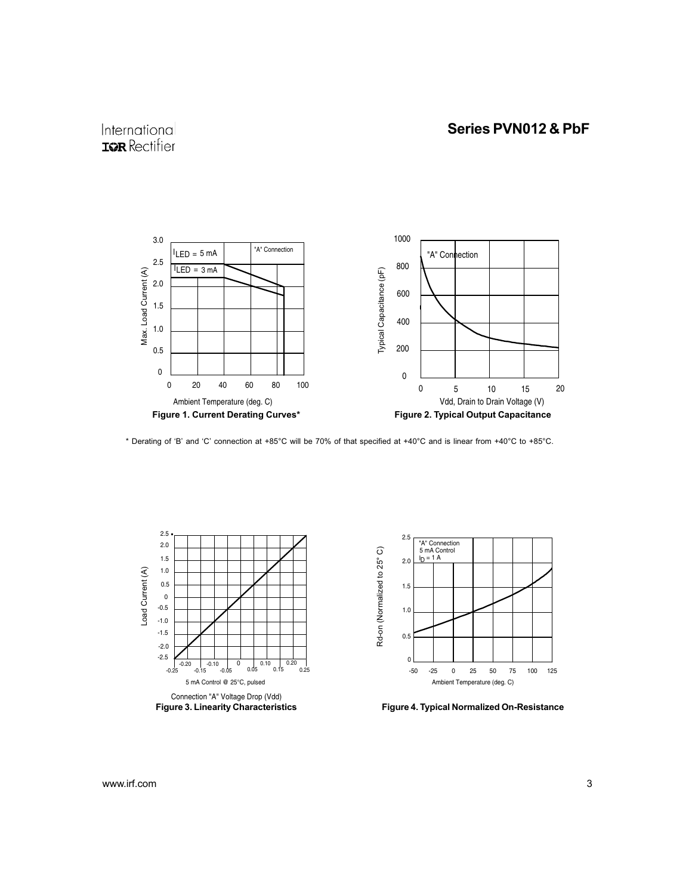# International **IGR** Rectifier



\* Derating of 'B' and 'C' connection at +85°C will be 70% of that specified at +40°C and is linear from +40°C to +85°C.





Figure 4. Typical Normalized On-Resistance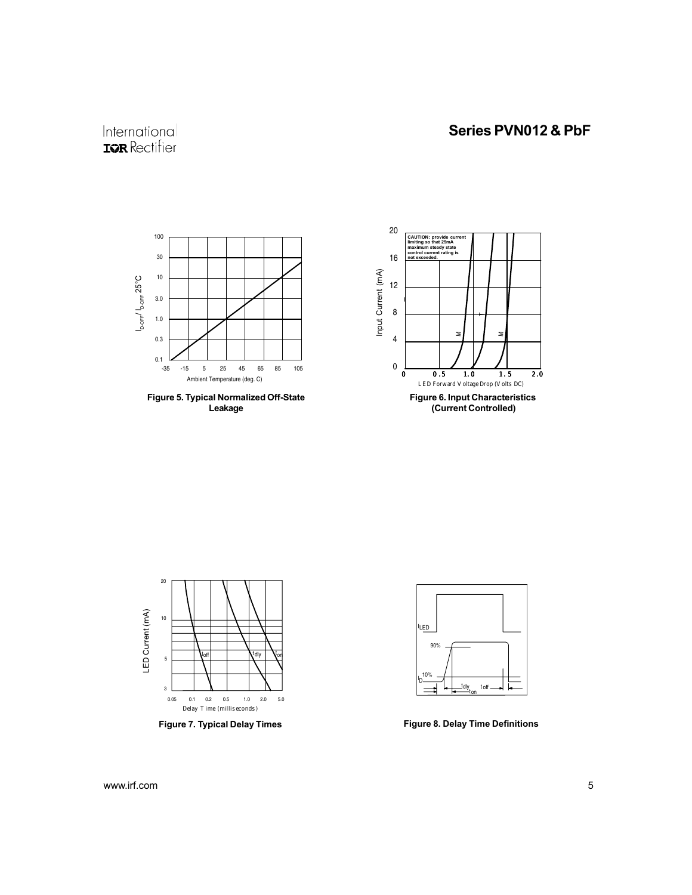# International **IOR** Rectifier







Figure 7. Typical Delay Times Figure 8. Delay Time Definitions